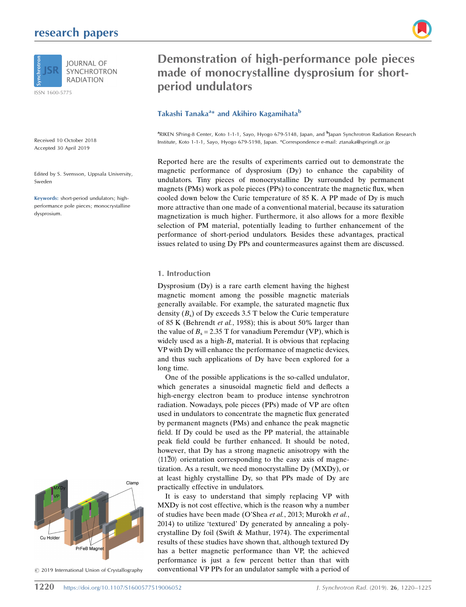# research papers



**SYNCHROTRON RADIATION** 

ISSN 1600-5775

Received 10 October 2018 Accepted 30 April 2019

Edited by S. Svensson, Uppsala University, Sweden

Keywords: short-period undulators; highperformance pole pieces; monocrystalline dysprosium.



 $©$  2019 International Union of Crystallography

Demonstration of high-performance pole pieces made of monocrystalline dysprosium for shortperiod undulators

## Takashi Tanaka<sup>a</sup>\* and Akihiro Kagamihata<sup>b</sup>

<sup>a</sup>RIKEN SPring-8 Center, Koto 1-1-1, Sayo, Hyogo 679-5148, Japan, and <sup>b</sup>Japan Synchrotron Radiation Research Institute, Koto 1-1-1, Sayo, Hyogo 679-5198, Japan. \*Correspondence e-mail: ztanaka@spring8.or.jp

Reported here are the results of experiments carried out to demonstrate the magnetic performance of dysprosium (Dy) to enhance the capability of undulators. Tiny pieces of monocrystalline Dy surrounded by permanent magnets (PMs) work as pole pieces (PPs) to concentrate the magnetic flux, when cooled down below the Curie temperature of 85 K. A PP made of Dy is much more attractive than one made of a conventional material, because its saturation magnetization is much higher. Furthermore, it also allows for a more flexible selection of PM material, potentially leading to further enhancement of the performance of short-period undulators. Besides these advantages, practical issues related to using Dy PPs and countermeasures against them are discussed.

#### 1. Introduction

Dysprosium (Dy) is a rare earth element having the highest magnetic moment among the possible magnetic materials generally available. For example, the saturated magnetic flux density  $(B_s)$  of Dy exceeds 3.5 T below the Curie temperature of 85 K (Behrendt et al., 1958); this is about 50% larger than the value of  $B_s = 2.35$  T for vanadium Peremdur (VP), which is widely used as a high- $B_s$  material. It is obvious that replacing VP with Dy will enhance the performance of magnetic devices, and thus such applications of Dy have been explored for a long time.

One of the possible applications is the so-called undulator, which generates a sinusoidal magnetic field and deflects a high-energy electron beam to produce intense synchrotron radiation. Nowadays, pole pieces (PPs) made of VP are often used in undulators to concentrate the magnetic flux generated by permanent magnets (PMs) and enhance the peak magnetic field. If Dy could be used as the PP material, the attainable peak field could be further enhanced. It should be noted, however, that Dy has a strong magnetic anisotropy with the  $\langle 11\overline{2}0 \rangle$  orientation corresponding to the easy axis of magnetization. As a result, we need monocrystalline Dy (MXDy), or at least highly crystalline Dy, so that PPs made of Dy are practically effective in undulators.

It is easy to understand that simply replacing VP with MXDy is not cost effective, which is the reason why a number of studies have been made (O'Shea et al., 2013; Murokh et al., 2014) to utilize 'textured' Dy generated by annealing a polycrystalline Dy foil (Swift & Mathur, 1974). The experimental results of these studies have shown that, although textured Dy has a better magnetic performance than VP, the achieved performance is just a few percent better than that with conventional VP PPs for an undulator sample with a period of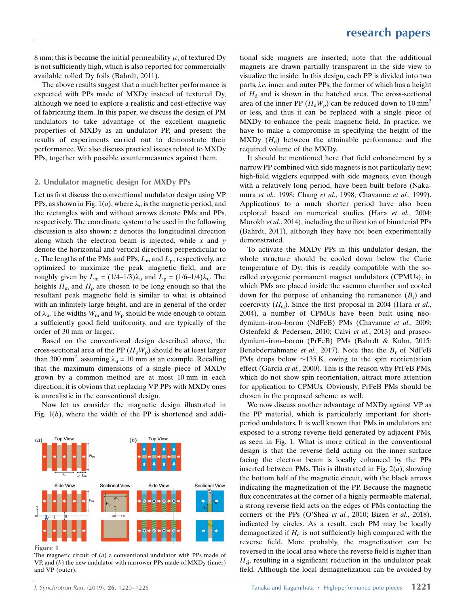8 mm; this is because the initial permeability  $\mu_{\text{i}}$  of textured Dy is not sufficiently high, which is also reported for commercially available rolled Dy foils (Bahrdt, 2011).

The above results suggest that a much better performance is expected with PPs made of MXDy instead of textured Dy, although we need to explore a realistic and cost-effective way of fabricating them. In this paper, we discuss the design of PM undulators to take advantage of the excellent magnetic properties of MXDy as an undulator PP, and present the results of experiments carried out to demonstrate their performance. We also discuss practical issues related to MXDy PPs, together with possible countermeasures against them.

#### 2. Undulator magnetic design for MXDy PPs

Let us first discuss the conventional undulator design using VP PPs, as shown in Fig. 1(*a*), where  $\lambda_{\rm u}$  is the magnetic period, and the rectangles with and without arrows denote PMs and PPs, respectively. The coordinate system to be used in the following discussion is also shown:  $z$  denotes the longitudinal direction along which the electron beam is injected, while  $x$  and  $y$ denote the horizontal and vertical directions perpendicular to z. The lengths of the PMs and PPs,  $L_m$  and  $L_p$ , respectively, are optimized to maximize the peak magnetic field, and are roughly given by  $L_m = (1/4-1/3)\lambda_u$  and  $L_p = (1/6-1/4)\lambda_u$ . The heights  $H_m$  and  $H_p$  are chosen to be long enough so that the resultant peak magnetic field is similar to what is obtained with an infinitely large height, and are in general of the order of  $\lambda$ <sub>u</sub>. The widths  $W_m$  and  $W_p$  should be wide enough to obtain a sufficiently good field uniformity, and are typically of the order of 30 mm or larger.

Based on the conventional design described above, the cross-sectional area of the PP  $(H_pW_p)$  should be at least larger than 300 mm<sup>2</sup>, assuming  $\lambda_u = 10$  mm as an example. Recalling that the maximum dimensions of a single piece of MXDy grown by a common method are at most 10 mm in each direction, it is obvious that replacing VP PPs with MXDy ones is unrealistic in the conventional design.

Now let us consider the magnetic design illustrated in Fig.  $1(b)$ , where the width of the PP is shortened and addi-



Figure 1

The magnetic circuit of  $(a)$  a conventional undulator with PPs made of  $VP$ , and  $(b)$  the new undulator with narrower PPs made of MXDy (inner) and VP (outer).

tional side magnets are inserted; note that the additional magnets are drawn partially transparent in the side view to visualize the inside. In this design, each PP is divided into two parts, i.e. inner and outer PPs, the former of which has a height of  $H_d$  and is shown in the hatched area. The cross-sectional area of the inner PP  $(H_dW_p)$  can be reduced down to 10 mm<sup>2</sup> or less, and thus it can be replaced with a single piece of MXDy to enhance the peak magnetic field. In practice, we have to make a compromise in specifying the height of the  $MXDy$  ( $H_d$ ) between the attainable performance and the required volume of the MXDy.

It should be mentioned here that field enhancement by a narrow PP combined with side magnets is not particularly new; high-field wigglers equipped with side magnets, even though with a relatively long period, have been built before (Nakamura et al., 1998; Chang et al., 1998; Chavanne et al., 1999). Applications to a much shorter period have also been explored based on numerical studies (Hara et al., 2004; Murokh et al., 2014), including the utilization of bimaterial PPs (Bahrdt, 2011), although they have not been experimentally demonstrated.

To activate the MXDy PPs in this undulator design, the whole structure should be cooled down below the Curie temperature of Dy; this is readily compatible with the socalled cryogenic permanent magnet undulators (CPMUs), in which PMs are placed inside the vacuum chamber and cooled down for the purpose of enhancing the remanence  $(B<sub>r</sub>)$  and coercivity  $(H_{ci})$ . Since the first proposal in 2004 (Hara *et al.*, 2004), a number of CPMUs have been built using neodymium–iron–boron (NdFeB) PMs (Chavanne et al., 2009; Ostenfeld & Pedersen, 2010; Calvi et al., 2013) and praseodymium–iron–boron (PrFeB) PMs (Bahrdt & Kuhn, 2015; Benabderrahmane et al., 2017). Note that the  $B_r$  of NdFeB PMs drops below  $\sim$ 135 K, owing to the spin reorientation effect (García et al., 2000). This is the reason why PrFeB PMs, which do not show spin reorientation, attract more attention for application to CPMUs. Obviously, PrFeB PMs should be chosen in the proposed scheme as well.

We now discuss another advantage of MXDy against VP as the PP material, which is particularly important for shortperiod undulators. It is well known that PMs in undulators are exposed to a strong reverse field generated by adjacent PMs, as seen in Fig. 1. What is more critical in the conventional design is that the reverse field acting on the inner surface facing the electron beam is locally enhanced by the PPs inserted between PMs. This is illustrated in Fig.  $2(a)$ , showing the bottom half of the magnetic circuit, with the black arrows indicating the magnetization of the PP. Because the magnetic flux concentrates at the corner of a highly permeable material, a strong reverse field acts on the edges of PMs contacting the corners of the PPs (O'Shea et al., 2010; Bizen et al., 2018), indicated by circles. As a result, each PM may be locally demagnetized if  $H_{ci}$  is not sufficiently high compared with the reverse field. More probably, the magnetization can be reversed in the local area where the reverse field is higher than  $H_{\text{ci}}$ , resulting in a significant reduction in the undulator peak field. Although the local demagnetization can be avoided by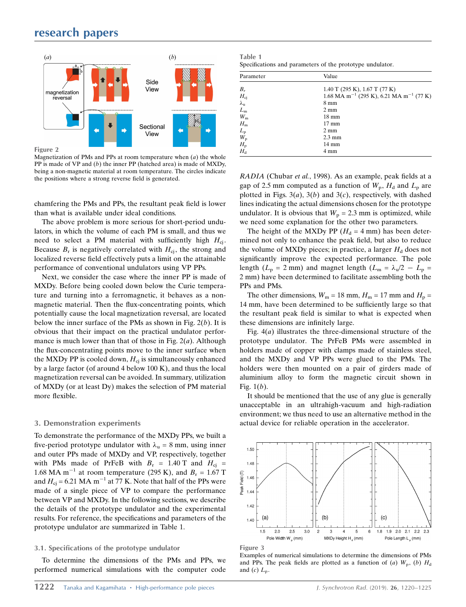

Magnetization of PMs and PPs at room temperature when  $(a)$  the whole PP is made of VP and  $(b)$  the inner PP (hatched area) is made of MXDy, being a non-magnetic material at room temperature. The circles indicate the positions where a strong reverse field is generated.

chamfering the PMs and PPs, the resultant peak field is lower than what is available under ideal conditions.

The above problem is more serious for short-period undulators, in which the volume of each PM is small, and thus we need to select a PM material with sufficiently high  $H_{ci}$ . Because  $B_r$  is negatively correlated with  $H_{ci}$ , the strong and localized reverse field effectively puts a limit on the attainable performance of conventional undulators using VP PPs.

Next, we consider the case where the inner PP is made of MXDy. Before being cooled down below the Curie temperature and turning into a ferromagnetic, it behaves as a nonmagnetic material. Then the flux-concentrating points, which potentially cause the local magnetization reversal, are located below the inner surface of the PMs as shown in Fig.  $2(b)$ . It is obvious that their impact on the practical undulator performance is much lower than that of those in Fig.  $2(a)$ . Although the flux-concentrating points move to the inner surface when the MXDy PP is cooled down,  $H_{ci}$  is simultaneously enhanced by a large factor (of around 4 below 100 K), and thus the local magnetization reversal can be avoided. In summary, utilization of MXDy (or at least Dy) makes the selection of PM material more flexible.

## 3. Demonstration experiments

To demonstrate the performance of the MXDy PPs, we built a five-period prototype undulator with  $\lambda_u = 8$  mm, using inner and outer PPs made of MXDy and VP, respectively, together with PMs made of PrFeB with  $B_r = 1.40$  T and  $H_{ci}$  = 1.68 MA m<sup>-1</sup> at room temperature (295 K), and  $B_r = 1.67$  T and  $H_{\text{ej}}$  = 6.21 MA m<sup>-1</sup> at 77 K. Note that half of the PPs were made of a single piece of VP to compare the performance between VP and MXDy. In the following sections, we describe the details of the prototype undulator and the experimental results. For reference, the specifications and parameters of the prototype undulator are summarized in Table 1.

## 3.1. Specifications of the prototype undulator

To determine the dimensions of the PMs and PPs, we performed numerical simulations with the computer code

| , ID<br>magnetization<br>reversal | Side         | <b>VIII.</b><br><b>MA</b>  | Parameter          | Value                                                             |
|-----------------------------------|--------------|----------------------------|--------------------|-------------------------------------------------------------------|
|                                   | View         |                            | В.                 | $1.40$ T (295 K), 1.67 T (77 K)                                   |
|                                   |              |                            | $H_{\rm ci}$       | $1.68$ MA m <sup>-1</sup> (295 K), 6.21 MA m <sup>-1</sup> (77 K) |
|                                   |              |                            | $\mathcal{N}_{11}$ | $8 \text{ mm}$                                                    |
|                                   |              |                            | $L_{\rm m}$        | $2 \text{ mm}$                                                    |
|                                   |              |                            | $W_{\rm m}$        | 18 mm                                                             |
|                                   | Sectional    | 'N M                       | $H_{\rm m}$        | $17 \text{ mm}$                                                   |
|                                   | View         |                            | $L_{\rm D}$        | $2 \text{ mm}$                                                    |
|                                   |              |                            | $W_{\rm n}$        | $2.3 \text{ mm}$                                                  |
|                                   |              |                            | $H_{\rm n}$        | 14 mm                                                             |
| Figure 2                          |              |                            | $H_{\rm d}$        | 4 mm                                                              |
| $c \rightarrow c$                 | $\mathbf{1}$ | $\sqrt{2}$<br>$\mathbf{1}$ |                    |                                                                   |

RADIA (Chubar et al., 1998). As an example, peak fields at a gap of 2.5 mm computed as a function of  $W_p$ ,  $H_d$  and  $L_p$  are plotted in Figs.  $3(a)$ ,  $3(b)$  and  $3(c)$ , respectively, with dashed lines indicating the actual dimensions chosen for the prototype undulator. It is obvious that  $W_p = 2.3$  mm is optimized, while we need some explanation for the other two parameters.

The height of the MXDy PP ( $H_d = 4$  mm) has been determined not only to enhance the peak field, but also to reduce the volume of MXDy pieces; in practice, a larger  $H_d$  does not significantly improve the expected performance. The pole length ( $L_p = 2$  mm) and magnet length ( $L_m = \lambda_q/2 - L_p =$ 2 mm) have been determined to facilitate assembling both the PPs and PMs.

The other dimensions,  $W_m = 18$  mm,  $H_m = 17$  mm and  $H_p =$ 14 mm, have been determined to be sufficiently large so that the resultant peak field is similar to what is expected when these dimensions are infinitely large.

Fig.  $4(a)$  illustrates the three-dimensional structure of the prototype undulator. The PrFeB PMs were assembled in holders made of copper with clamps made of stainless steel, and the MXDy and VP PPs were glued to the PMs. The holders were then mounted on a pair of girders made of aluminium alloy to form the magnetic circuit shown in Fig.  $1(b)$ .

It should be mentioned that the use of any glue is generally unacceptable in an ultrahigh-vacuum and high-radiation environment; we thus need to use an alternative method in the actual device for reliable operation in the accelerator.



Figure 3

Examples of numerical simulations to determine the dimensions of PMs and PPs. The peak fields are plotted as a function of (a)  $W_p$ , (b)  $H_d$ and  $(c)$   $L_p$ .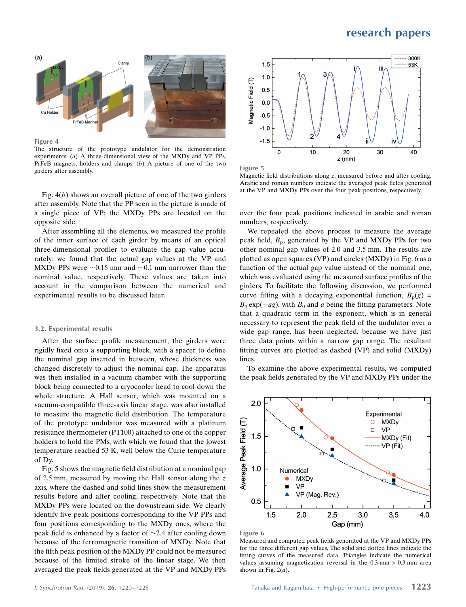

Figure 4

The structure of the prototype undulator for the demonstration experiments. (*a*) A three-dimensional view of the MXD<sub>v</sub> and VP PPs. PrFeB magnets, holders and clamps. (b) A picture of one of the two Figure 5 girders after assembly.  $\frac{1}{2}$  and  $\frac{1}{2}$  and  $\frac{1}{2}$  and  $\frac{1}{2}$  and  $\frac{1}{2}$  and  $\frac{1}{2}$  and  $\frac{1}{2}$  and  $\frac{1}{2}$  and  $\frac{1}{2}$  and  $\frac{1}{2}$  and  $\frac{1}{2}$  and  $\frac{1}{2}$  and  $\frac{1}{2}$  and  $\frac{1}{$ 

Fig.  $4(b)$  shows an overall picture of one of the two girders after assembly. Note that the PP seen in the picture is made of a single piece of VP; the MXDy PPs are located on the opposite side.

After assembling all the elements, we measured the profile of the inner surface of each girder by means of an optical three-dimensional profiler to evaluate the gap value accurately; we found that the actual gap values at the VP and MXDy PPs were  $\sim 0.15$  mm and  $\sim 0.1$  mm narrower than the nominal value, respectively. These values are taken into account in the comparison between the numerical and experimental results to be discussed later.

#### 3.2. Experimental results

After the surface profile measurement, the girders were rigidly fixed onto a supporting block, with a spacer to define the nominal gap inserted in between, whose thickness was changed discretely to adjust the nominal gap. The apparatus was then installed in a vacuum chamber with the supporting block being connected to a cryocooler head to cool down the whole structure. A Hall sensor, which was mounted on a vacuum-compatible three-axis linear stage, was also installed to measure the magnetic field distribution. The temperature of the prototype undulator was measured with a platinum resistance thermometer (PT100) attached to one of the copper holders to hold the PMs, with which we found that the lowest temperature reached 53 K, well below the Curie temperature of Dy.

Fig. 5 shows the magnetic field distribution at a nominal gap of 2.5 mm, measured by moving the Hall sensor along the  $z$ axis, where the dashed and solid lines show the measurement results before and after cooling, respectively. Note that the MXDy PPs were located on the downstream side. We clearly identify five peak positions corresponding to the VP PPs and four positions corresponding to the MXDy ones, where the peak field is enhanced by a factor of  $\sim$ 2.4 after cooling down because of the ferromagnetic transition of MXDy. Note that the fifth peak position of the MXDy PP could not be measured because of the limited stroke of the linear stage. We then averaged the peak fields generated at the VP and MXDy PPs





Magnetic field distributions along  $z$ , measured before and after cooling. Arabic and roman numbers indicate the averaged peak fields generated at the VP and MXDy PPs over the four peak positions, respectively.

over the four peak positions indicated in arabic and roman numbers, respectively.

We repeated the above process to measure the average peak field,  $B_p$ , generated by the VP and MXDy PPs for two other nominal gap values of 2.0 and 3.5 mm. The results are plotted as open squares (VP) and circles (MXDy) in Fig. 6 as a function of the actual gap value instead of the nominal one, which was evaluated using the measured surface profiles of the girders. To facilitate the following discussion, we performed curve fitting with a decaying exponential function,  $B_p(g)$  =  $B_0 \exp(-ag)$ , with  $B_0$  and a being the fitting parameters. Note that a quadratic term in the exponent, which is in general necessary to represent the peak field of the undulator over a wide gap range, has been neglected, because we have just three data points within a narrow gap range. The resultant fitting curves are plotted as dashed (VP) and solid (MXDy) lines.

To examine the above experimental results, we computed the peak fields generated by the VP and MXDy PPs under the



Figure 6

Measured and computed peak fields generated at the VP and MXDy PPs for the three different gap values. The solid and dotted lines indicate the fitting curves of the measured data. Triangles indicate the numerical values assuming magnetization reversal in the  $0.3$  mm  $\times$   $0.3$  mm area shown in Fig.  $2(a)$ .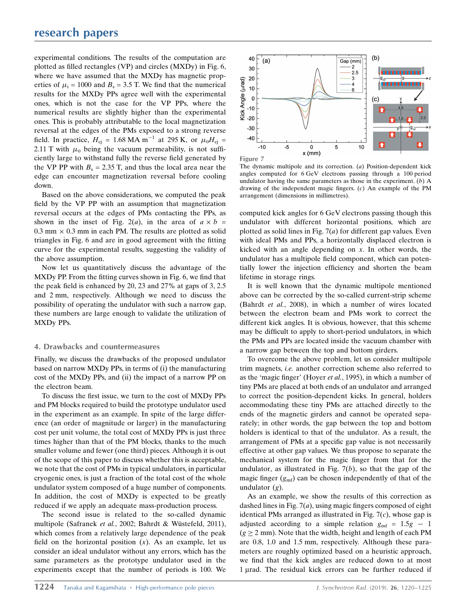experimental conditions. The results of the computation are plotted as filled rectangles (VP) and circles (MXDy) in Fig. 6, where we have assumed that the MXDy has magnetic properties of  $\mu_i = 1000$  and  $B_s = 3.5$  T. We find that the numerical results for the MXDy PPs agree well with the experimental ones, which is not the case for the VP PPs, where the numerical results are slightly higher than the experimental ones. This is probably attributable to the local magnetization reversal at the edges of the PMs exposed to a strong reverse field. In practice,  $H_{\text{cj}} = 1.68 \text{ MA m}^{-1}$  at 295 K, or  $\mu_0 H_{\text{cj}} =$ 2.11 T with  $\mu_0$  being the vacuum permeability, is not sufficiently large to withstand fully the reverse field generated by the VP PP with  $B_s = 2.35$  T, and thus the local area near the edge can encounter magnetization reversal before cooling down.

Based on the above considerations, we computed the peak field by the VP PP with an assumption that magnetization reversal occurs at the edges of PMs contacting the PPs, as shown in the inset of Fig. 2(*a*), in the area of  $a \times b =$  $0.3$  mm  $\times$  0.3 mm in each PM. The results are plotted as solid triangles in Fig. 6 and are in good agreement with the fitting curve for the experimental results, suggesting the validity of the above assumption.

Now let us quantitatively discuss the advantage of the MXDy PP. From the fitting curves shown in Fig. 6, we find that the peak field is enhanced by 20, 23 and 27% at gaps of 3, 2.5 and 2 mm, respectively. Although we need to discuss the possibility of operating the undulator with such a narrow gap, these numbers are large enough to validate the utilization of MXDy PPs.

## 4. Drawbacks and countermeasures

Finally, we discuss the drawbacks of the proposed undulator based on narrow MXDy PPs, in terms of (i) the manufacturing cost of the MXDy PPs, and (ii) the impact of a narrow PP on the electron beam.

To discuss the first issue, we turn to the cost of MXDy PPs and PM blocks required to build the prototype undulator used in the experiment as an example. In spite of the large difference (an order of magnitude or larger) in the manufacturing cost per unit volume, the total cost of MXDy PPs is just three times higher than that of the PM blocks, thanks to the much smaller volume and fewer (one third) pieces. Although it is out of the scope of this paper to discuss whether this is acceptable, we note that the cost of PMs in typical undulators, in particular cryogenic ones, is just a fraction of the total cost of the whole undulator system composed of a huge number of components. In addition, the cost of MXDy is expected to be greatly reduced if we apply an adequate mass-production process.

The second issue is related to the so-called dynamic multipole (Safranek et al., 2002; Bahrdt & Wüstefeld, 2011), which comes from a relatively large dependence of the peak field on the horizontal position  $(x)$ . As an example, let us consider an ideal undulator without any errors, which has the same parameters as the prototype undulator used in the experiments except that the number of periods is 100. We



The dynamic multipole and its correction.  $(a)$  Position-dependent kick angles computed for 6 GeV electrons passing through a 100 period undulator having the same parameters as those in the experiment.  $(b)$  A drawing of the independent magic fingers. (c) An example of the PM arrangement (dimensions in millimetres).

computed kick angles for 6 GeV electrons passing though this undulator with different horizontal positions, which are plotted as solid lines in Fig.  $7(a)$  for different gap values. Even with ideal PMs and PPs, a horizontally displaced electron is kicked with an angle depending on  $x$ . In other words, the undulator has a multipole field component, which can potentially lower the injection efficiency and shorten the beam lifetime in storage rings.

It is well known that the dynamic multipole mentioned above can be corrected by the so-called current-strip scheme (Bahrdt et al., 2008), in which a number of wires located between the electron beam and PMs work to correct the different kick angles. It is obvious, however, that this scheme may be difficult to apply to short-period undulators, in which the PMs and PPs are located inside the vacuum chamber with a narrow gap between the top and bottom girders.

To overcome the above problem, let us consider multipole trim magnets, i.e. another correction scheme also referred to as the 'magic finger' (Hoyer et al., 1995), in which a number of tiny PMs are placed at both ends of an undulator and arranged to correct the position-dependent kicks. In general, holders accommodating these tiny PMs are attached directly to the ends of the magnetic girders and cannot be operated separately; in other words, the gap between the top and bottom holders is identical to that of the undulator. As a result, the arrangement of PMs at a specific gap value is not necessarily effective at other gap values. We thus propose to separate the mechanical system for the magic finger from that for the undulator, as illustrated in Fig.  $7(b)$ , so that the gap of the magic finger  $(g_{\text{mf}})$  can be chosen independently of that of the undulator  $(g)$ .

As an example, we show the results of this correction as dashed lines in Fig.  $7(a)$ , using magic fingers composed of eight identical PMs arranged as illustrated in Fig.  $7(c)$ , whose gap is adjusted according to a simple relation  $g_{\text{mf}} = 1.5g - 1$  $(g \ge 2$  mm). Note that the width, height and length of each PM are 0.8, 1.0 and 1.5 mm, respectively. Although these parameters are roughly optimized based on a heuristic approach, we find that the kick angles are reduced down to at most 1 µrad. The residual kick errors can be further reduced if